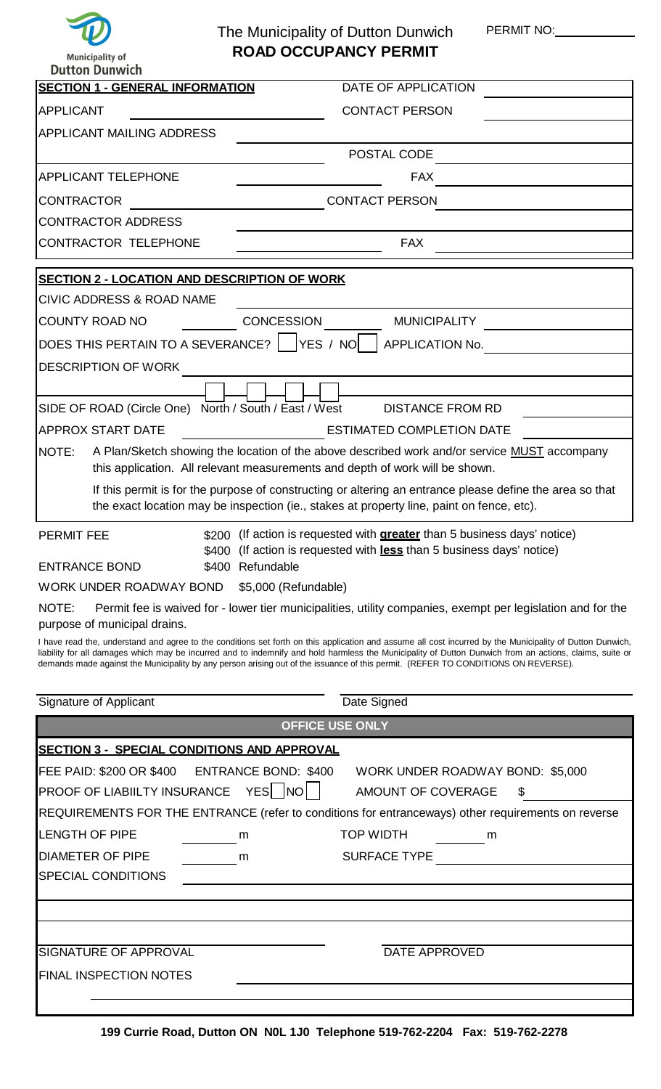

**Municipality of** 

## The Municipality of Dutton Dunwich PERMIT NO: **ROAD OCCUPANCY PERMIT**

| <b>Dutton Dunwich</b>                                                                                                                                                                                                                                                                        |                                                                                                             |
|----------------------------------------------------------------------------------------------------------------------------------------------------------------------------------------------------------------------------------------------------------------------------------------------|-------------------------------------------------------------------------------------------------------------|
| <b>SECTION 1 - GENERAL INFORMATION</b>                                                                                                                                                                                                                                                       | DATE OF APPLICATION                                                                                         |
| <b>APPLICANT</b>                                                                                                                                                                                                                                                                             | <b>CONTACT PERSON</b>                                                                                       |
| <b>APPLICANT MAILING ADDRESS</b>                                                                                                                                                                                                                                                             |                                                                                                             |
|                                                                                                                                                                                                                                                                                              | POSTAL CODE                                                                                                 |
| APPLICANT TELEPHONE                                                                                                                                                                                                                                                                          | <b>FAX</b>                                                                                                  |
| <b>CONTRACTOR</b>                                                                                                                                                                                                                                                                            | <b>CONTACT PERSON</b>                                                                                       |
| <b>CONTRACTOR ADDRESS</b>                                                                                                                                                                                                                                                                    |                                                                                                             |
| <b>CONTRACTOR TELEPHONE</b>                                                                                                                                                                                                                                                                  | <b>FAX</b>                                                                                                  |
|                                                                                                                                                                                                                                                                                              |                                                                                                             |
| <b>SECTION 2 - LOCATION AND DESCRIPTION OF WORK</b>                                                                                                                                                                                                                                          |                                                                                                             |
| <b>CIVIC ADDRESS &amp; ROAD NAME</b><br><b>COUNTY ROAD NO</b>                                                                                                                                                                                                                                | <b>CONCESSION</b><br><b>MUNICIPALITY</b>                                                                    |
|                                                                                                                                                                                                                                                                                              |                                                                                                             |
| DOES THIS PERTAIN TO A SEVERANCE?   YES / NO                                                                                                                                                                                                                                                 | APPLICATION No.                                                                                             |
| <b>DESCRIPTION OF WORK</b>                                                                                                                                                                                                                                                                   |                                                                                                             |
|                                                                                                                                                                                                                                                                                              |                                                                                                             |
| SIDE OF ROAD (Circle One) North / South / East / West<br><b>APPROX START DATE</b>                                                                                                                                                                                                            | <b>DISTANCE FROM RD</b><br><b>ESTIMATED COMPLETION DATE</b>                                                 |
| NOTE:                                                                                                                                                                                                                                                                                        | A Plan/Sketch showing the location of the above described work and/or service MUST accompany                |
|                                                                                                                                                                                                                                                                                              | this application. All relevant measurements and depth of work will be shown.                                |
|                                                                                                                                                                                                                                                                                              | If this permit is for the purpose of constructing or altering an entrance please define the area so that    |
|                                                                                                                                                                                                                                                                                              | the exact location may be inspection (ie., stakes at property line, paint on fence, etc).                   |
| <b>PERMIT FEE</b>                                                                                                                                                                                                                                                                            | \$200 (If action is requested with <b>greater</b> than 5 business days' notice)                             |
|                                                                                                                                                                                                                                                                                              | \$400 (If action is requested with less than 5 business days' notice)                                       |
| <b>ENTRANCE BOND</b>                                                                                                                                                                                                                                                                         | \$400 Refundable                                                                                            |
| WORK UNDER ROADWAY BOND                                                                                                                                                                                                                                                                      | \$5,000 (Refundable)                                                                                        |
| NOTE:<br>purpose of municipal drains.                                                                                                                                                                                                                                                        | Permit fee is waived for - lower tier municipalities, utility companies, exempt per legislation and for the |
| I have read the, understand and agree to the conditions set forth on this application and assume all cost incurred by the Municipality of Dutton Dunwich,                                                                                                                                    |                                                                                                             |
| liability for all damages which may be incurred and to indemnify and hold harmless the Municipality of Dutton Dunwich from an actions, claims, suite or<br>demands made against the Municipality by any person arising out of the issuance of this permit. (REFER TO CONDITIONS ON REVERSE). |                                                                                                             |
|                                                                                                                                                                                                                                                                                              |                                                                                                             |
| Signature of Applicant                                                                                                                                                                                                                                                                       | Date Signed                                                                                                 |
|                                                                                                                                                                                                                                                                                              | <b>OFFICE USE ONLY</b>                                                                                      |
| <u> SECTION 3 - SPECIAL CONDITIONS AND APPROVAL</u>                                                                                                                                                                                                                                          |                                                                                                             |
| FEE PAID: \$200 OR \$400                                                                                                                                                                                                                                                                     | <b>ENTRANCE BOND: \$400</b><br>WORK UNDER ROADWAY BOND: \$5,000                                             |
| PROOF OF LIABIILTY INSURANCE YES   NO                                                                                                                                                                                                                                                        | AMOUNT OF COVERAGE<br>S                                                                                     |
|                                                                                                                                                                                                                                                                                              | REQUIREMENTS FOR THE ENTRANCE (refer to conditions for entranceways) other requirements on reverse          |
| <b>LENGTH OF PIPE</b>                                                                                                                                                                                                                                                                        | <b>TOP WIDTH</b><br>m<br>$\frac{1}{\sqrt{1-\frac{1}{2}}}\mathsf{m}$                                         |
| <b>DIAMETER OF PIPE</b><br>$\begin{array}{c} \hline \end{array}$                                                                                                                                                                                                                             | SURFACE TYPE<br>m                                                                                           |
| <b>SPECIAL CONDITIONS</b>                                                                                                                                                                                                                                                                    |                                                                                                             |
|                                                                                                                                                                                                                                                                                              |                                                                                                             |
|                                                                                                                                                                                                                                                                                              |                                                                                                             |
| <b>SIGNATURE OF APPROVAL</b>                                                                                                                                                                                                                                                                 | <b>DATE APPROVED</b>                                                                                        |
| <b>FINAL INSPECTION NOTES</b>                                                                                                                                                                                                                                                                |                                                                                                             |
|                                                                                                                                                                                                                                                                                              |                                                                                                             |